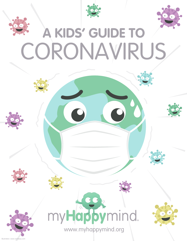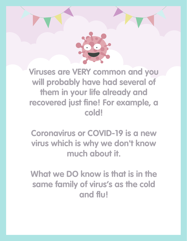

**Viruses are VERY common and you will probably have had several of them in your life already and recovered just fine! For example, a cold!**

**Coronavirus or COVID-19 is a new virus which is why we don't know much about it.**

**What we DO know is that is in the same family of virus's as the cold and flu!**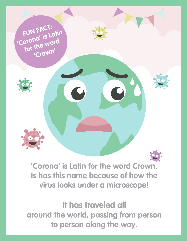

**'Corona' is Latin for the word Crown. Is has this name because of how the virus looks under a microscope!**

**It has traveled all around the world, passing from person to person along the way.**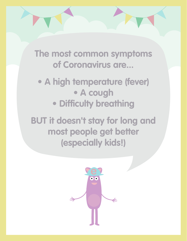**The most common symptoms of Coronavirus are...**

**• A high temperature (fever) • A cough • Difficulty breathing**

**BUT it doesn't stay for long and most people get better (especially kids!)**

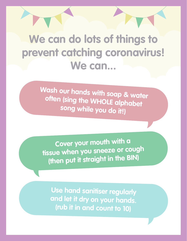## **We can do lots of things to prevent catching coronavirus! We can...**

**Wash our hands with soap & water often (sing the WHOLE alphabet song while you do it!)**

**Cover your mouth with a tissue when you sneeze or coug<sup>h</sup> (then put it straight in the BIN)**

**Use hand sanitiser regularly and let it dry on your hands. (rub it in and count to 10)**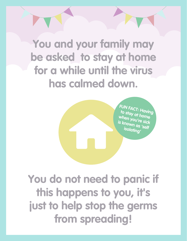**You and your family may be asked to stay at home for a while until the virus has calmed down.**

> **FUN FACT: Having to stay at home when you're sick is known as 'self isolating'**

**You do not need to panic if this happens to you, it's just to help stop the germs from spreading!**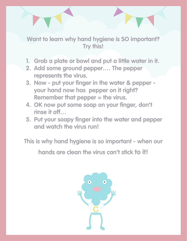**Want to learn why hand hygiene is SO important? Try this!**

- **1. Grab a plate or bowl and put a little water in it.**
- **2. Add some ground pepper…. The pepper represents the virus.**
- **3. Now put your finger in the water & pepper your hand now has pepper on it right? Remember that pepper = the virus.**
- **4. OK now put some soap on your finger, don't rinse it off…**
- **5. Put your soapy finger into the water and pepper and watch the virus run!**

**This is why hand hygiene is so important - when our** 

**hands are clean the virus can't stick to it!**

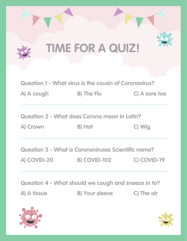

**Question 2 - What does Corona mean in Latin?** 

**A) Crown B) Hat C) Wig**

**Question 3 - What is Coronaviruses Scientific name?** 

**A) COVID-20 B) COVID-102 C) COVID-19**

**Question 4 - What should we cough and sneeze in to?** 

**A) A tissue B) Your sleeve C) The air**